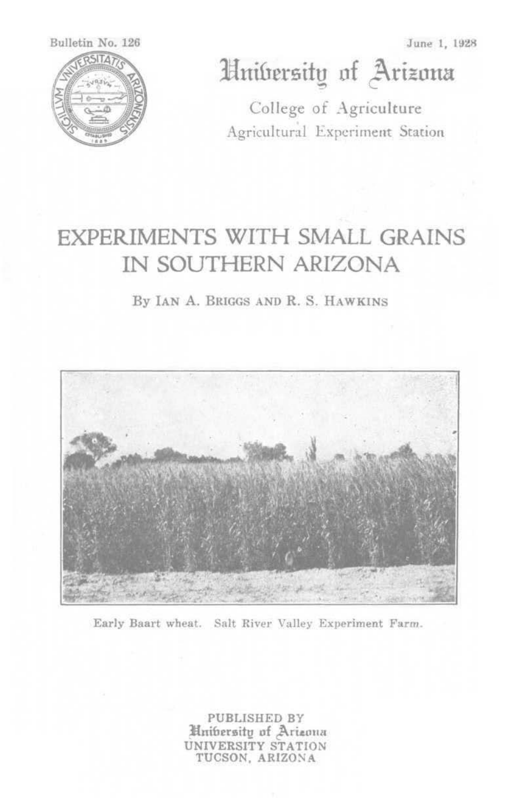Bulletin No. 126 **ERSITAT** 

June 1, 1928

# Hnibersity of Arizona

College of Agriculture Agricultural Experiment Station

## **EXPERIMENTS WITH SMALL GRAINS** IN SOUTHERN ARIZONA

By IAN A. BRIGGS AND R. S. HAWKINS



Early Baart wheat. Salt River Valley Experiment Farm.

PUBLISHED BY **Hnibersity of Arizona** UNIVERSITY STATION TUCSON, ARIZONA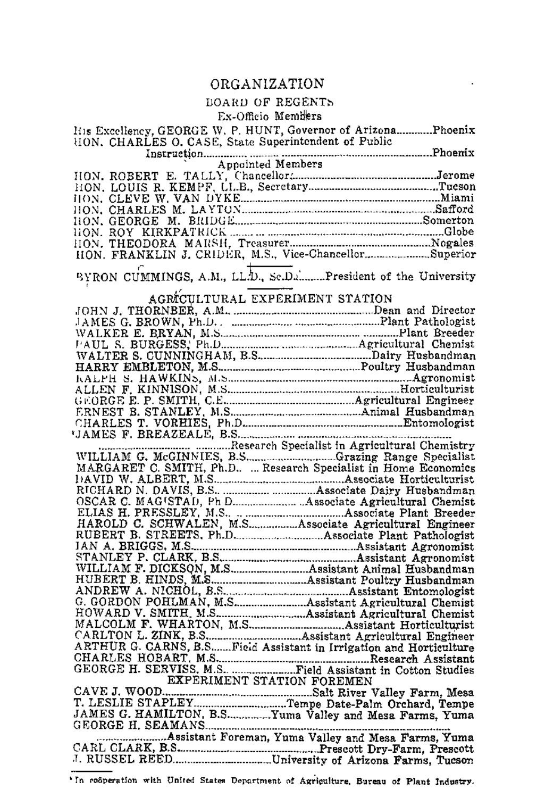## ORGANIZATION

÷,

### **BOARD OF REGENTS**

#### Ex-Officio Members

| $1.1 -$ | <b>OUTD ALCOH</b>                                                  |
|---------|--------------------------------------------------------------------|
|         |                                                                    |
|         |                                                                    |
|         |                                                                    |
|         |                                                                    |
|         |                                                                    |
|         |                                                                    |
|         |                                                                    |
|         |                                                                    |
|         |                                                                    |
|         |                                                                    |
|         |                                                                    |
|         | BYRON CUMMINGS, A.M., LL.D., Sc.Dahman.President of the University |
|         |                                                                    |
|         | AGRICULTURAL EXPERIMENT STATION                                    |
|         |                                                                    |
|         |                                                                    |
|         |                                                                    |
|         |                                                                    |
|         |                                                                    |
|         |                                                                    |
|         |                                                                    |
|         |                                                                    |
|         |                                                                    |
|         |                                                                    |
|         |                                                                    |
|         |                                                                    |
|         |                                                                    |
|         |                                                                    |
|         |                                                                    |
|         |                                                                    |
|         |                                                                    |
|         |                                                                    |
|         |                                                                    |
|         |                                                                    |
|         |                                                                    |
|         |                                                                    |
|         |                                                                    |
|         |                                                                    |
|         |                                                                    |
|         |                                                                    |
|         |                                                                    |
|         |                                                                    |
|         |                                                                    |
|         |                                                                    |
|         |                                                                    |
|         |                                                                    |
|         | EXPERIMENT STATION FOREMEN                                         |
|         |                                                                    |
|         |                                                                    |
|         |                                                                    |
|         |                                                                    |
|         |                                                                    |
|         |                                                                    |
|         |                                                                    |

'In coöperation with United States Department of Agriculture, Bureau of Plant Industry.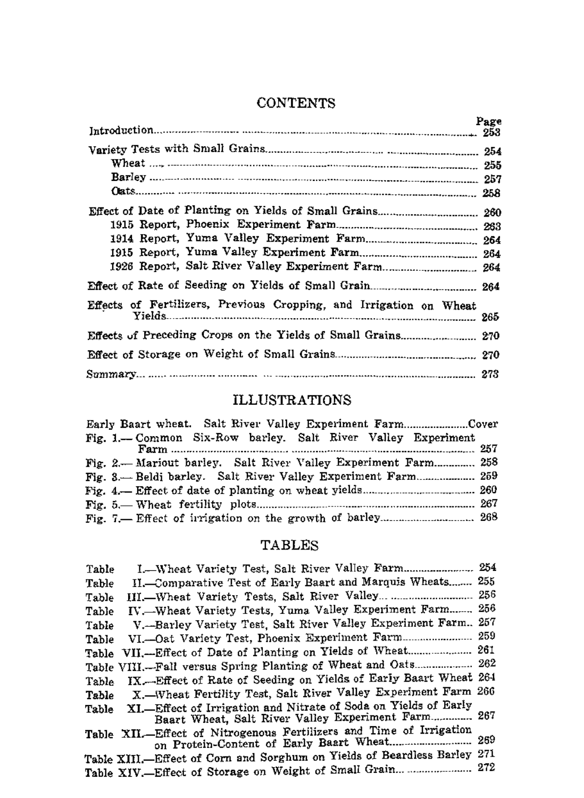|                                                                    | Page |
|--------------------------------------------------------------------|------|
|                                                                    |      |
| 1926 Report, Salt River Valley Experiment Farm 264                 |      |
| Effects of Fertilizers, Previous Cropping, and Irrigation on Wheat |      |
| Effects of Preceding Crops on the Yields of Small Grains 270       |      |

## **CONTENTS**

## ILLUSTRATIONS

| Early Baart wheat. Salt River Valley Experiment FarmCover      |  |
|----------------------------------------------------------------|--|
| Fig. 1.-- Common Six-Row barley. Salt River Valley Experiment  |  |
|                                                                |  |
| Fig. 2.— Mariout barley. Salt River Valley Experiment Farm 258 |  |
| Fig. 3. Beldi barley. Salt River Valley Experiment Farm 259    |  |
|                                                                |  |
|                                                                |  |
| Fig. 7. Effect of irrigation on the growth of barley 268       |  |

## TABLES

| Table | I. Wheat Variety Test, Salt River Valley Farm 254                                                                     |      |
|-------|-----------------------------------------------------------------------------------------------------------------------|------|
| Table | II.-Comparative Test of Early Baart and Marquis Wheats                                                                | 255  |
| Table |                                                                                                                       | 256  |
| Table | IV. Wheat Variety Tests, Yuma Valley Experiment Farm                                                                  | -256 |
| Table | V. Barley Variety Test, Salt River Valley Experiment Farm. 257                                                        |      |
| Table | VI.--Oat Variety Test, Phoenix Experiment Farm                                                                        | 259  |
| Table | VII.--Effect of Date of Planting on Yields of Wheat 261                                                               |      |
|       | Table VIII.--Fall versus Spring Planting of Wheat and Oats 262                                                        |      |
| Table | IX. Effect of Rate of Seeding on Yields of Early Baart Wheat 264                                                      |      |
| Table | X. Wheat Fertility Test, Salt River Valley Experiment Farm 266                                                        |      |
| Table | XI.-Effect of Irrigation and Nitrate of Soda on Yields of Early<br>Baart Wheat, Salt River Valley Experiment Farm 267 |      |
|       | Table XII.-Effect of Nitrogenous Fertilizers and Time of Irrigation<br>on Protein-Content of Early Baart Wheat 269    |      |
|       | Table XIII.-Effect of Corn and Sorghum on Yields of Beardless Barley 271                                              |      |
|       | Table XIV.-Effect of Storage on Weight of Small Grain                                                                 | 272  |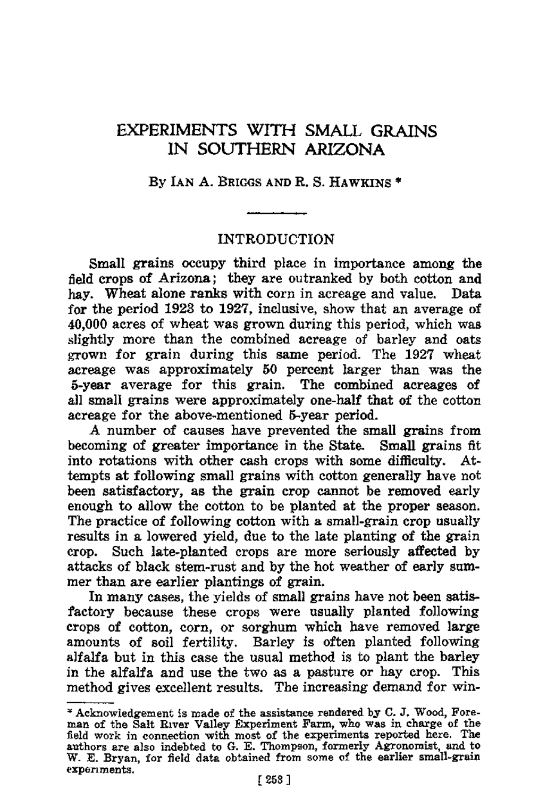## EXPERIMENTS WITH SMALL GRAINS IN SOUTHERN ARIZONA

#### By IAN A. BRIGGS AND R. S. HAWKINS<sup>\*</sup>

#### INTRODUCTION

Small grains occupy third place in importance among the field crops of Arizona; they are outranked by both cotton and hay. Wheat alone ranks with corn in acreage and value. Data for the period 1923 to 1927, inclusive, show that an average of 40,000 acres of wheat was grown during this period, which was slightly more than the combined acreage of barley and oats grown for grain during this same period. The 1927 wheat acreage was approximately 50 percent larger than was the 5-year average for this grain. The combined acreages of all small grains were approximately one-half that of the cotton acreage for the above-mentioned 5-year period.

A number of causes have prevented the small grains from becoming of greater importance in the State. Small grains fit into rotations with other cash crops with some difficulty. Attempts at following small grains with cotton generally have not been satisfactory, as the grain crop cannot be removed early enough to allow the cotton to be planted at the proper season. The practice of following cotton with a small-grain crop usually results in a lowered yield, due to the late planting of the grain crop. Such late-planted crops are more seriously affected by attacks of black stem-rust and by the hot weather of early summer than are earlier plantings of grain.

In many cases, the yields of small grains have not been satisfactory because these crops were usually planted following crops of cotton, corn, or sorghum which have removed large amounts of soil fertility. Barley is often planted following alfalfa but in this case the usual method is to plant the barley in the alfalfa and use the two as a pasture or hay crop. This method gives excellent results. The increasing demand for win-

<sup>&#</sup>x27;" Acknowledgement is made of the assistance rendered by C. J. Wood, Fore- man of the Salt River Vaney Experiment Farm, who was in charge of the field work in connection with most of the experiments reported here. The authors are also indebted to G. E. Thompson, formerly Agronoroist, and to W. E. Bryan, for field data obtained from some of the earlier small-grain experiments.<br>
[253]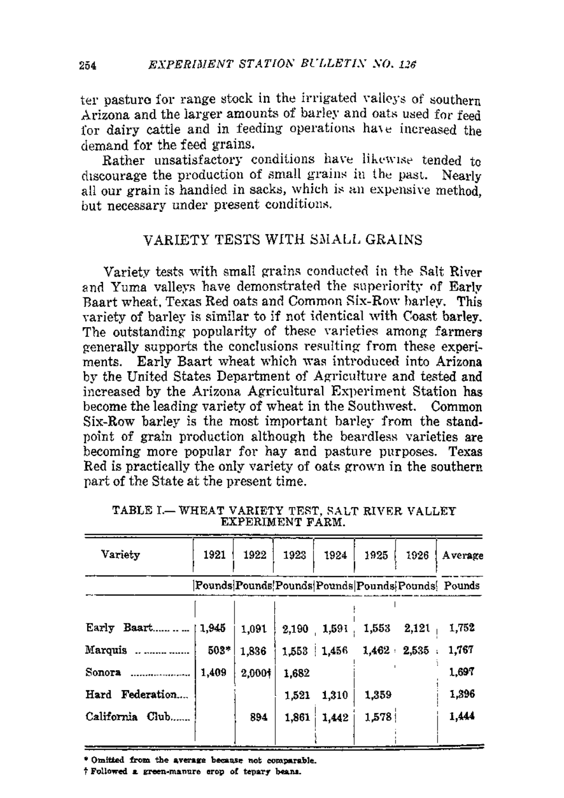ter pasture for range stock in the irrigated valleys of southern Arizona and the larger amounts of barley and oats used for feed for dairy cattle and in feeding operations have increased the demand for the feed grains.

Rather unsatisfactory conditions have likewise tended to discourage the production of small grains in the past. Nearly all our grain is handled in sacks, which is an expensive method. but necessary under present conditions.

#### VARIETY TESTS WITH SMALL GRAINS

Variety tests with small grains conducted in the Salt River and Yuma valleys have demonstrated the superiority of Early Baart wheat, Texas Red oats and Common Six-Row barley. This variety of barley is similar to if not identical with Coast barley. The outstanding popularity of these varieties among farmers cenerally supports the conclusions resulting from these experiments. Early Baart wheat which was introduced into Arizona by the United States Department of Agriculture and tested and increased by the Arizona Agricultural Experiment Station has become the leading variety of wheat in the Southwest. Common Six-Row barley is the most important barley from the standnoint of grain production although the beardless varieties are becoming more popular for hay and pasture purposes. Texas Red is practically the only variety of oats grown in the southern part of the State at the present time.

| Variety         | 1921  | 1922   | 1923  | 1924          | 1925  | 1926          | Average                                            |
|-----------------|-------|--------|-------|---------------|-------|---------------|----------------------------------------------------|
|                 |       |        |       |               |       |               | [Pounds]Pounds[Pounds]Pounds[Pounds]Pounds[Pounds] |
|                 | 1.945 | 1.091  |       | $2,190$ 1,591 | 1,553 | 2,121         | 1,752                                              |
| Marquis         | 503*  | 1.836  |       | 1,553 1,456   |       | $1.462$ 2.535 | 1,767                                              |
| Sonora<br>.     | 1,409 | 2,000+ | 1,682 |               |       |               | 1,697                                              |
| Hard Federation |       |        | 1.521 | 1,310         | 1,359 |               | 1,396                                              |
| California Club |       | 894    | 1.861 | 1,442         | 1,578 |               | 1,444                                              |
|                 |       |        |       |               |       |               |                                                    |

TABLE I .- WHEAT VARIETY TEST, SALT RIVER VALLEY **EXPERIMENT FARM.** 

\* Omitted from the average because not comparable.

*† Followed a green-manure erop of tepary beans.*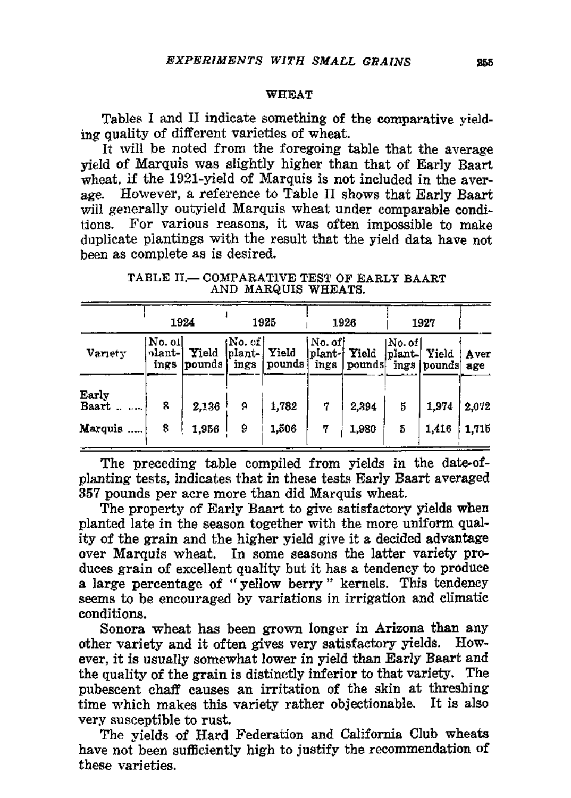#### **WHEAT**

Tables I and II indicate something of the comparative vielding quality of different varieties of wheat.

If will be noted from the foregoing table that the average vield of Marquis was slightly higher than that of Early Baart wheat, if the 1921-vield of Marquis is not included in the average. However, a reference to Table II shows that Early Baart will generally outvield Marquis wheat under comparable conditions. For various reasons, it was often impossible to make duplicate plantings with the result that the vield data have not been as complete as is desired.

|                | 1924                      |                  |                                   | 1925   |                                            | 1926                    |        | 1927        |             |
|----------------|---------------------------|------------------|-----------------------------------|--------|--------------------------------------------|-------------------------|--------|-------------|-------------|
| Variety        | No. 01<br>plant-l<br>ings | Yield<br> pounds | tNo. of l<br>plant- Yield<br>ings | pounds | $\lfloor$ No. of $\rfloor$<br>plant- Yield | ings pounds ings pounds | No. of | plant Yield | Aver<br>age |
| Early<br>Baart | 8                         | 2,136            | 9                                 | 1,782  | 7                                          | 2,394                   | 5      | 1,974       | 2.072       |
| Marquis        | 8                         | 1,956            | 9                                 | 1,506  | 7                                          | 1,980                   | 5      | 1.416       | 1.715       |

TABLE II. COMPARATIVE TEST OF EARLY BAART AND MARQUIS WHEATS.

The preceding table compiled from yields in the date-ofplanting tests, indicates that in these tests Early Baart averaged 357 pounds per acre more than did Marquis wheat.

The property of Early Baart to give satisfactory yields when planted late in the season together with the more uniform quality of the grain and the higher yield give it a decided advantage over Marquis wheat. In some seasons the latter variety produces grain of excellent quality but it has a tendency to produce a large percentage of "vellow berry" kernels. This tendency seems to be encouraged by variations in irrigation and climatic conditions.

Sonora wheat has been grown longer in Arizona than any other variety and it often gives very satisfactory yields. However, it is usually somewhat lower in yield than Early Baart and the quality of the grain is distinctly inferior to that variety. The pubescent chaff causes an irritation of the skin at threshing time which makes this variety rather objectionable. It is also very susceptible to rust.

The yields of Hard Federation and California Club wheats have not been sufficiently high to justify the recommendation of these varieties.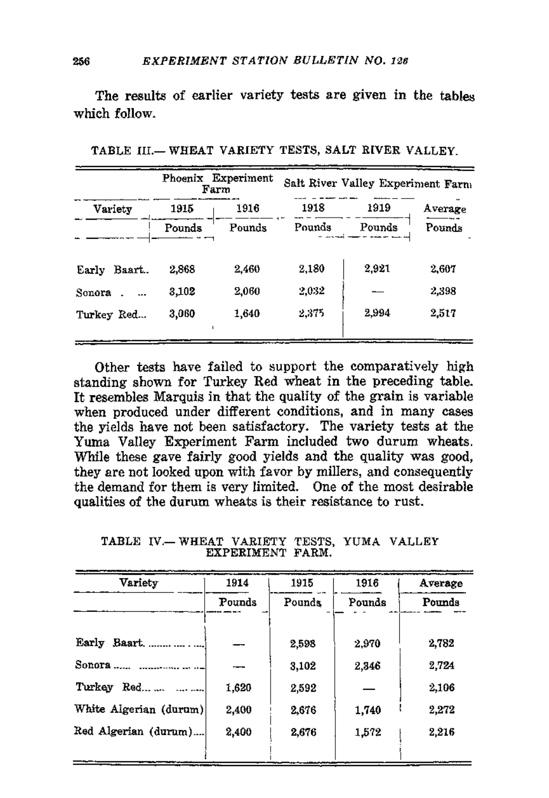The results of earlier variety tests are given in the tables which follow.

|                 |        | Phoenix Experiment<br>Farm | Salt River Valley Experiment Farm |                                               |         |  |  |
|-----------------|--------|----------------------------|-----------------------------------|-----------------------------------------------|---------|--|--|
| Variety         | 1915   | 1916                       | 1918                              | 1919                                          | Average |  |  |
|                 | Pounds | Pounds                     | Pounds                            | Pounds<br>- arrest <del>come e</del> masser e | Pounds  |  |  |
| Baart.<br>Early | 2.868  | 2.460                      | 2,180                             | 2,921                                         | 2.607   |  |  |
| Sonora.         | 3,102  | 2,060                      | 2,032                             |                                               | 2,398   |  |  |
| Turkey Red      | 3,060  | 1,640                      | 2.375                             | 2,994                                         | 2,517   |  |  |

TABLE III.- WHEAT VARIETY TESTS, SALT RIVER VALLEY.

Other tests have failed to support the comparatively high standing shown for Turkey Red wheat in the preceding table. It resembles Marquis in that the quality of the grain is variable when produced under different conditions, and in many cases the yields have not been satisfactory. The variety tests at the Yuma Valley Experiment Farm included two durum wheats. While these gave fairly good yields and the quality was good. they are not looked upon with favor by millers, and consequently the demand for them is very limited. One of the most desirable qualities of the durum wheats is their resistance to rust.

TABLE IV.-- WHEAT VARIETY TESTS, YUMA VALLEY EXPERIMENT FARM.

| Variety                | 1914   | 1915   | 1916   | Average |
|------------------------|--------|--------|--------|---------|
|                        | Pounds | Pounds | Pounds | Pounds  |
| Early Baart.           |        | 2,598  | 2.970  | 2,782   |
|                        |        | 3,102  | 2,346  | 2,724   |
| Turkey Red             | 1,620  | 2,592  |        | 2,106   |
| White Algerian (durum) | 2,400  | 2.676  | 1,740  | 2,272   |
| Red Algerian (durum)   | 2,400  | 2.676  | 1,572  | 2,216   |
|                        |        |        |        |         |

256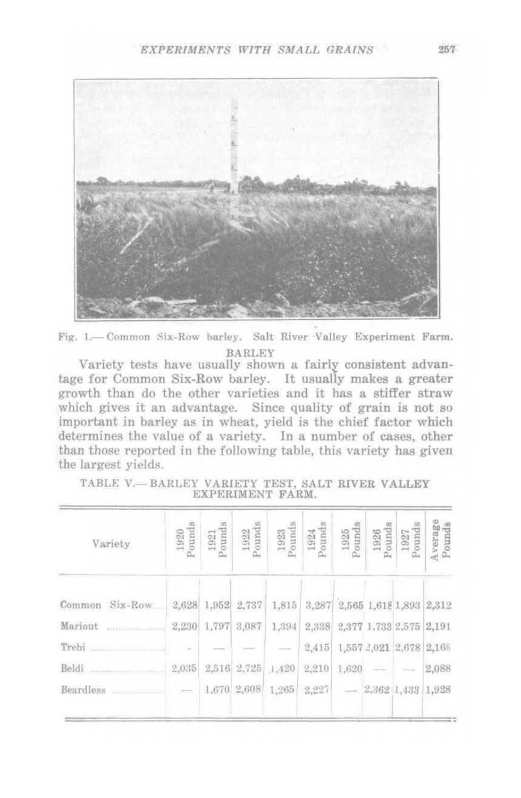

Fig. 1.-Common Six-Row barley. Salt River Valley Experiment Farm. **BARLEY** 

Variety tests have usually shown a fairly consistent advantage for Common Six-Row barley. It usually makes a greater growth than do the other varieties and it has a stiffer straw which gives it an advantage. Since quality of grain is not so important in barley as in wheat, yield is the chief factor which determines the value of a variety. In a number of cases, other than those reported in the following table, this variety has given the largest vields.

| $\frac{1920}{\text{Pounds}}$ | $\begin{array}{c} 1921 \\ \text{ounds} \end{array}$ | $\frac{1922}{\mathrm{Pounds}}$ | $\begin{array}{c} \text{1923} \\ \text{Pounds} \end{array}$ | 1924<br>'ounds | $\frac{1925}{Pounds}$ |                | Average<br>Pounds                                                                                                                                                                                              |
|------------------------------|-----------------------------------------------------|--------------------------------|-------------------------------------------------------------|----------------|-----------------------|----------------|----------------------------------------------------------------------------------------------------------------------------------------------------------------------------------------------------------------|
|                              |                                                     | 2,737                          | 1,815                                                       |                |                       |                |                                                                                                                                                                                                                |
| 2,230                        |                                                     | 3,087                          | 1,394                                                       |                |                       |                |                                                                                                                                                                                                                |
|                              |                                                     |                                |                                                             | 2,415          |                       |                |                                                                                                                                                                                                                |
| 2,035                        |                                                     |                                | 1,420                                                       | 2,210          |                       |                | 2,088                                                                                                                                                                                                          |
| $\frac{1}{2}$                |                                                     |                                | 1,265                                                       |                |                       |                |                                                                                                                                                                                                                |
|                              |                                                     |                                | 2,628 1,952<br>1,797<br>2,516 2,725<br>1,670 2,608          |                | 2,338                 | 3,287<br>2,227 | $\begin{array}{c} 1926 \\ \text{Pounds} \end{array}$<br>$\frac{1927}{\mathrm{Pounds}}$<br>2,565 1,618 1,893 2,312<br>2,377 1,733 2,575 2,191<br>1,557 2,021 2,678 2,168<br>$1,620 =$ -<br>$-2,362$ 1,433 1,928 |

TABLE V.- BARLEY VARIETY TEST, SALT RIVER VALLEY EXPERIMENT FARM.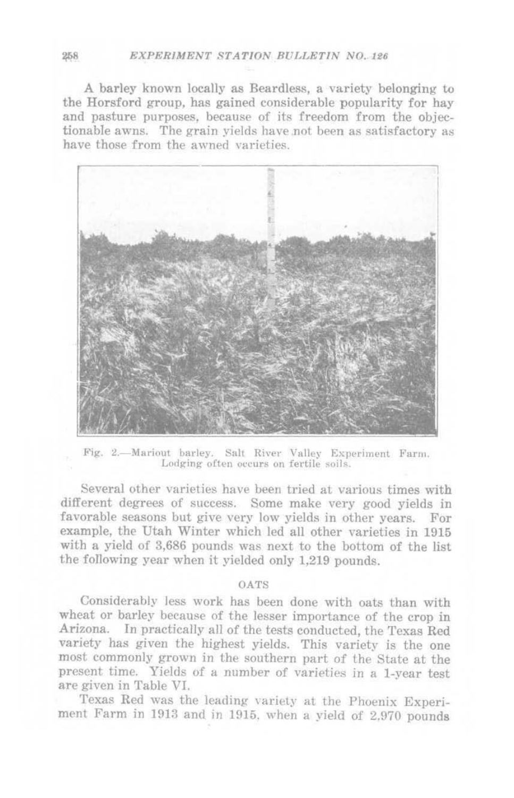A barley known locally as Beardless, a variety belonging to the Horsford group, has gained considerable popularity for hay and pasture purposes, because of its freedom from the objectionable awns. The grain yields have not been as satisfactory as have those from the awned varieties.



Fig. 2.-Mariout barley. Salt River Valley Experiment Farm. Lodging often occurs on fertile soils.

Several other varieties have been tried at various times with different degrees of success. Some make very good yields in favorable seasons but give very low yields in other years. For example, the Utah Winter which led all other varieties in 1915 with a yield of 3,686 pounds was next to the bottom of the list the following year when it yielded only 1,219 pounds.

#### O AT'S

Considerably less work has been done with oats than with wheat or barley because of the lesser importance of the crop in Arizona. In practically all of the tests conducted, the Texas Red variety has given the highest yields. This variety is the one most commonly grown in the southern part of the State at the present time. Yields of a number of varieties in a 1-year test are given in Table VI.

Texas Red was the leading variety at the Phoenix Experiment Farm in 1913 and in 1915, when a yield of 2,970 pounds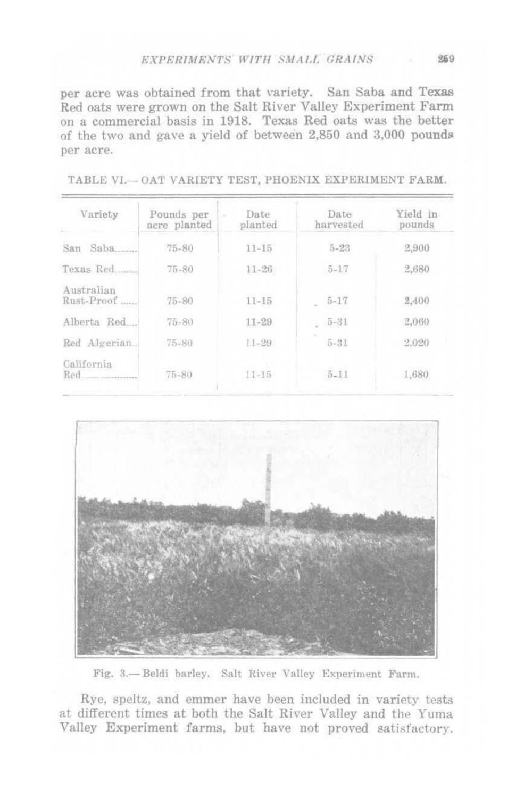#### EXPERIMENTS WITH SMALL GRAINS

per acre was obtained from that variety. San Saba and Texas Red oats were grown on the Salt River Valley Experiment Farm on a commercial basis in 1918. Texas Red oats was the better of the two and gave a yield of between 2,850 and 3,000 pounds per acre.

| Variety                  | Pounds per<br>acre planted | Date<br>planted | Date<br>harvested | Yield in<br>pounds |
|--------------------------|----------------------------|-----------------|-------------------|--------------------|
| Saba<br>San              | $75 - 80$                  | $11 - 15$       | $5 - 23$          | 2,900              |
| Texas Red                | $75 - 80$                  | $11 - 26$       | $5 - 17$          | 2,680              |
| Australian<br>Rust-Proof | $75 - 80$                  | $11 - 15$       | $5 - 17$<br>×.    | 2,400              |
| Alberta Red              | $75 - 80$                  | $11 - 29$       | $5 - 31$          | 2,060              |
| Red Algerian.            | $75 - 80$                  | $11 - 29$       | $5 - 31$          | 2.020              |
| California               | $75 - 80$                  | $11 - 15$       | $5 - 11$          | 1,680              |

TABLE VI .-- OAT VARIETY TEST, PHOENIX EXPERIMENT FARM.



Fig. 3.-Beldi barley. Salt River Valley Experiment Farm.

Rye, speltz, and emmer have been included in variety tests at different times at both the Salt River Valley and the Yuma Valley Experiment farms, but have not proved satisfactory.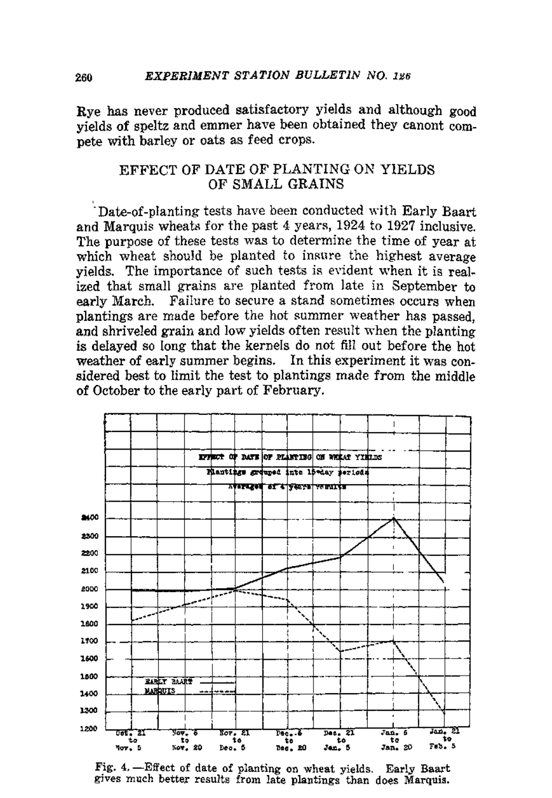Rye has never produced satisfactory yields and although good yields of speltz and emmer have been obtained they canont compete with barley or oats as feed crops.

#### EFFECT OF DATE OF PLANTING ON YIELDS OF SMALL GRAINS

Date-of-planting tests have been conducted with Early Baart and Marquis wheats for the past 4 years, 1924 to 1927 inclusive. The purpose of these tests was to determine the time of year at which wheat should be planted to insure the highest average yields. The importance of such tests is evident when it is realized that small grains are planted from late in September to early March. Failure to secure a stand sometimes occurs when plantings are made before the hot summer weather has passed. and shriveled grain and low yields often result when the planting is delayed so long that the kernels do not fill out before the hot weather of early summer begins. In this experiment it was considered best to limit the test to plantings made from the middle of October to the early part of February.



Fig. 4. - Effect of date of planting on wheat yields. Early Baart gives much better results from late plantings than does Marquis.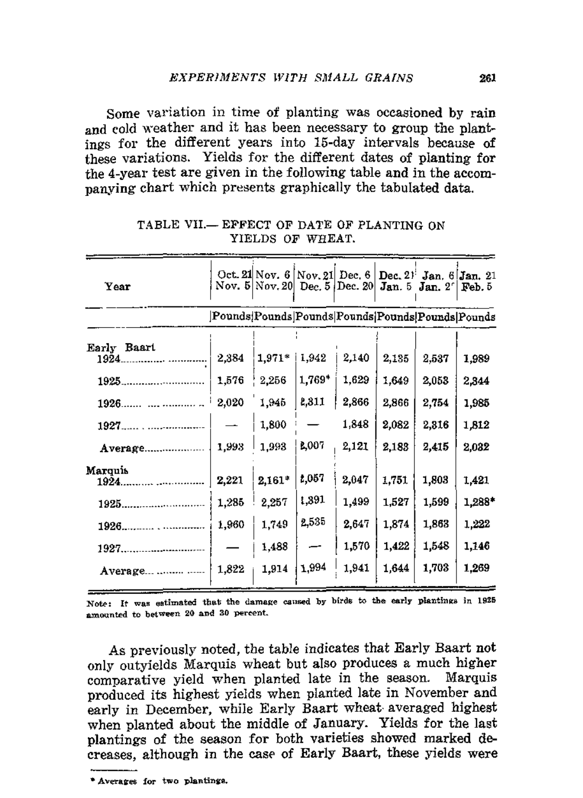Some variation in time of planting was occasioned by rain and cold weather and it has been necessary to group the plantings for the different years into 15-day intervals because of these variations. Yields for the different dates of planting for the 4-year test are given in the following table and in the accomnanving chart which presents graphically the tabulated data.

| Year                                                    |                                  | Oct. 21 Nov. $6$ Nov. 21 Dec. $6$<br>Nov. $5 Nov, 20 $ Dec. $5 Dec. 20 $ |                                  |                                           | Jan. 5                                    | Dec. $2!$ Jan. $6$<br>Jan. 2 <sup>c</sup> | Jan.21<br>Feb. 5                           |
|---------------------------------------------------------|----------------------------------|--------------------------------------------------------------------------|----------------------------------|-------------------------------------------|-------------------------------------------|-------------------------------------------|--------------------------------------------|
|                                                         |                                  | Pounds Pounds Pounds Pounds Pounds Pounds Pounds                         |                                  |                                           |                                           |                                           |                                            |
| Early Baart<br>1924.<br>1925.<br>1926.                  | 2,384<br>1,576<br>2,020          | 1,971*<br>2,256<br>1,945                                                 | 1,942<br>1,769*<br>2,311         | 2,140<br>1,629<br>2,866                   | 2,135<br>1,649<br>2,866                   | 2,537<br>2,053<br>2,754                   | 1,989<br>2,344<br>1,985                    |
| 1927<br>Average.                                        | 1,993                            | 1,800<br>1,993                                                           | B,007                            | 1,848<br>2,121                            | 2,082<br>2,183                            | 2,316<br>2.415                            | 1,812<br>2,032                             |
| Marquis<br>1924.<br>1925.<br>1926.<br>1927.<br>Average. | 2,221<br>1,285<br>1,960<br>1,822 | 2,161*<br>2,257<br>1,749<br>1,488<br>1,914                               | 1,057<br>1,391<br>2,535<br>1,994 | 2,047<br>1,499<br>2,647<br>1,570<br>1,941 | 1.751<br>1,527<br>1,874<br>1,422<br>1.644 | 1,803<br>1,599<br>1,863<br>1,548<br>1,703 | 1,421<br>1,288*<br>1,222<br>1,146<br>1,269 |

TABLE VII.- EFFECT OF DATE OF PLANTING ON YIELDS OF WHEAT.

Note: It was estimated that the damage caused by birds to the early plantings in 1925 amounted to between 20 and 30 percent.

As previously noted, the table indicates that Early Baart not only outyields Marquis wheat but also produces a much higher comparative yield when planted late in the season. Marquis produced its highest yields when planted late in November and early in December, while Early Baart wheat averaged highest when planted about the middle of January. Yields for the last plantings of the season for both varieties showed marked decreases, although in the case of Early Baart, these yields were

<sup>\*</sup> Averages for two plantings.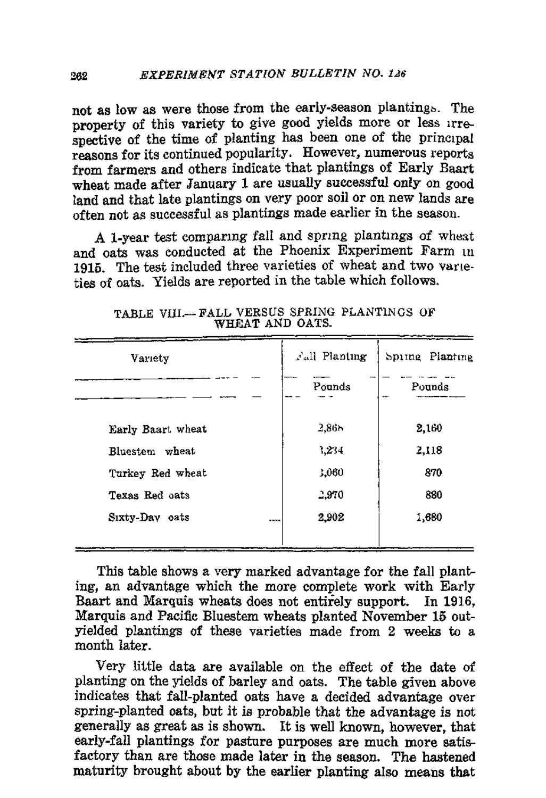not as low as were those from the early-season planting:.. The property of this variety to give good yields more or less Irrespective of the time of planting has been one of the principal reasons for its continued popularity. However. numerous reports from farmers and others indicate that plantings of Early Baart wheat made after January 1 are usually successful only on good land and that late plantings on very poor soil or on new lands are often not as successful as plantings made earlier in the season.

A 1-year test comparing fall and spring plantings of wheat and oats was conducted at the Phoenix Experiment Farm in 1915. The test included three varieties of wheat and two varieties of oats. Yields are reported in the table which follows.

| Variety           | Fall Planting | Spiing Planting |
|-------------------|---------------|-----------------|
|                   | Pounds        | Pounds          |
| Early Baart wheat | 2.86h         | 2,160           |
| Bluestem wheat    | 1,234         | 2,118           |
| Turkey Red wheat  | 3,060         | 870             |
| Texas Red oats    | 2,970         | 880             |
| Sixty-Day oats    | 2,902<br>     | 1,680           |
|                   |               |                 |

TABLE VIII.- FALL VERSUS SPRING PLANTINGS OF WHEAT AND OATS.

This table shows a very marked advantage for the fall planting, an advantage which the more complete work with Early Baart and Marquis wheats does not entirely support. In 1916, Marquis and Pacific Bluestem wheats planted November 15 outyielded plantings of these varieties made from 2 weeks to a month later.

Very little data are available on the effect of the date of planting on the yields of barley and oats. The table given above indicates that fall-planted oats have a decided advantage over spring-planted oats, but it is probable that the advantage is not generally as great as is shown. It is well known, however, that early-fall plantings for pasture purposes are much more satisfactory than are those made later in the season. The hastened maturity brought about by the earlier planting also means that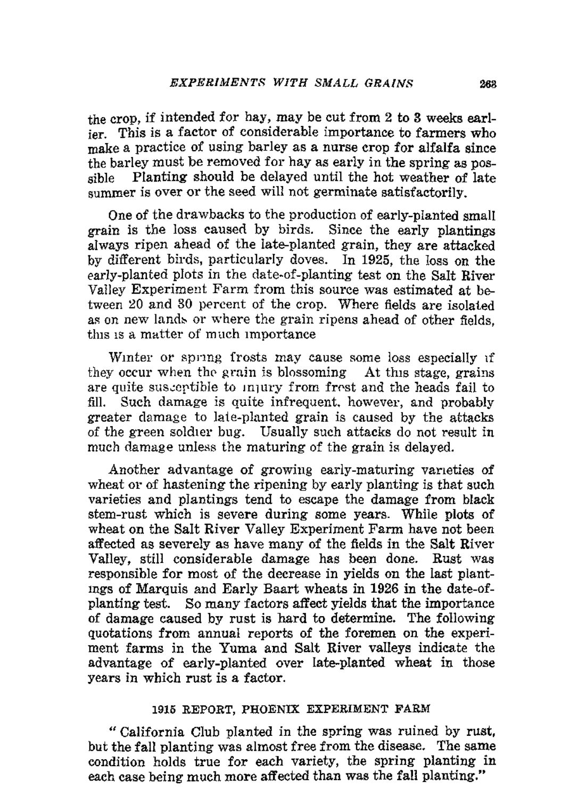the crop, if intended for hay, may be cut from 2 to 3 weeks earlier. This is a factor of considerable importance to farmers who make a practice of using barley as a nurse crop for alfalfa since the barley must be removed for hay as early in the spring as possible Planting should be delayed until the hot weather of late summer is over or the seed will not germinate satisfactorily.

One of the drawbacks to the production of early-planted small grain is the loss caused by birds. Since the early plantings always ripen ahead of the late-planted grain, they are attacked by different birds, particularly doves. In 1925, the loss on the early-planted plots in the date-of-planting test on the Salt River Valley Experiment Farm from this source was estimated at between 20 and 30 percent of the crop. Where fields are isolated as on new lands or where the grain ripens ahead of other fields. this is a matter of much importance

Winter or spring frosts may cause some loss especially if they occur when the grain is blossoming  $\Delta t$  this stage, grains are quite susceptible to Injury from frest and the heads fail to fill. Such damage is quite infrequent. however, and probably greater damage to late-planted grain is caused by the attacks of the green soldier bug. Usually such attacks do not result in much damage unless the maturing of the grain is delayed.

Another advantage of growing early-maturing varieties of wheat or of hastening the ripening by early planting is that such varieties and plantings tend to escape the damage from black stem-rust which is severe during some years. While plots of wheat on the Salt River Valley Experiment Farm have not been affected as severely as have many of the fields in the Salt River Valley, still considerable damage has been done. Rust was responsible for most of the decrease in yields on the last plantmgs of Marquis and Early Baart wheats in 1926 in the date-ofplanting test. So many factors affect yields that the importance of damage caused by rust is hard to determine. The following quotations from annual reports of the foremen on the experiment farms in the Yuma and Salt River valleys indicate the advantage of early-planted over late-planted wheat in those years in which rust is a factor.

#### 1916 REPORT, PHOENIX EXPERIMENT FARM

"California Club planted in the spring was ruined by rust. but the fall planting was almost free from the disease. The same condition holds true for each variety, the spring planting in each case being much more affected than was the fall planting."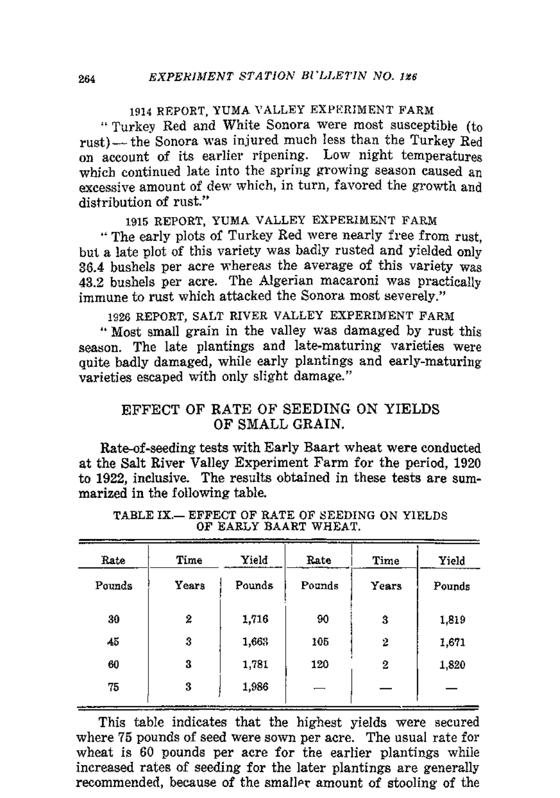#### 1914 REPORT, YUMA VALLEY EXPERIMENT FARM

"Turkey Red and White Sonora were most susceptible (to rust)- the Sonora was injured much less than the Turkey Red on account of its earlier ripening. Low night temperatures which continued late into the spring growing season caused an excessive amount of dew which, in turn, favored the growth and distribution of rust."

#### 1915 REPORT, YUMA VALLEY EXPERIMENT FARM

" The early plots of Turkey Red were nearly free from rust, but a late plot of this variety was badly rusted and yielded only 36.4 bushels per acre whereas the average of this variety was 43.2 bushels per acre. The Algerian macaroni was practically immune to rust which attacked the Sonora most severely."

1926 REPORT, SALT RIVER VALLEY EXPERIMENT FARM

.. Most small grain in the valley was damaged by rust this season. The late plantings and late-maturing varieties were quite badly damaged, while early plantings and early-maturing varieties escaped with only slight damage."

#### EFFECT OF RATE OF SEEDING ON YIELDS OF SMALL GRAIN.

Rate-of-seeding tests with Early Baart wheat were conducted at the Salt River Valley Experiment Farm for the period, 1920 to 1922, inclusive. The results obtained in these tests are summarized in the following table.

| Rate   | Time  | Yield  | Rate   | Time  | Yield  |
|--------|-------|--------|--------|-------|--------|
| Pounds | Years | Pounds | Pounds | Years | Pounds |
| 30     | 2     | 1,716  | 90     | 3     | 1,819  |
| 45     | 3     | 1,663  | 105    | 2     | 1,671  |
| 60     | 3     | 1,781  | 120    | 2     | 1,820  |
| 75     | 3     | 1,986  |        |       |        |
|        |       |        |        |       |        |

TABLE IX.- EFFECT OF RATE OF SEEDING ON YIELDS OF EARLY BAART WHEAT.

This table indicates that the highest yields were secured where 75 pounds of seed were sown per acre. The usual rate for wheat is 60 pounds per acre for the earlier plantings while increased rates of seeding for the later plantings are generally recommended, because of the smaller amount of stooling of the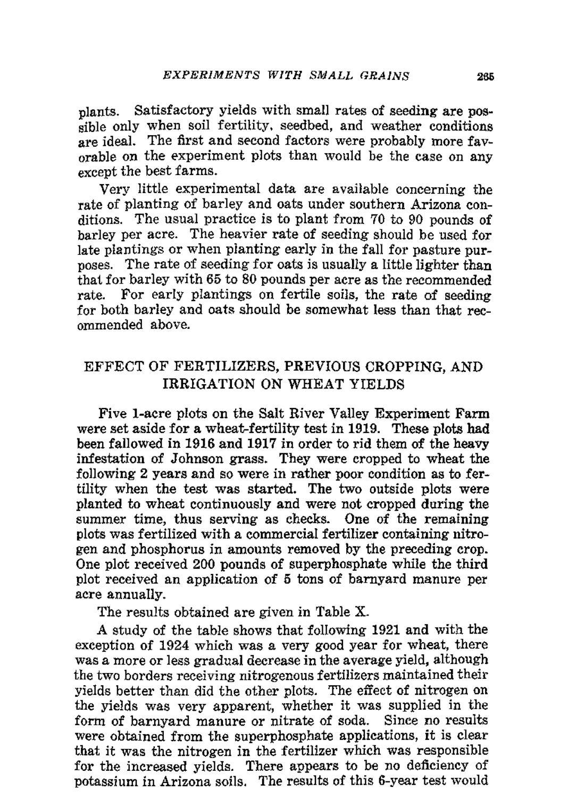plants. Satisfactory yields with small rates of seeding are possible only when soil fertility, seedbed, and weather conditions are ideal. The first and second factors were probably more favorable on the experiment plots than would be the case on any except the best farms.

Very little experimental data are available concerning the rate of planting of barley and oats under southern Arizona conditions. The usual practice is to plant from 70 to 90 pounds of barley per acre. The heavier rate of seeding should be used for late plantings or when planting early in the fall for pasture purposes. The rate of seeding for oats is usually a little lighter than thai for barley with 65 to 80 pounds per acre as the recommended rate. For early plantings on fertile soils, the rate of seeding for both barley and oats should be somewhat less than that recommended above.

## EFFECT OF FERTILIZERS, PREVIOUS CROPPING, AND IRRIGATION ON WHEAT YIELDS

Five I-acre plots on the Salt River Valley Experiment Farm were set aside for a wheat-fertility test in 1919. These plots had been fallowed in 1916 and 1917 in order to rid them of the heavy infestation of Johnson grass. They were cropped to wheat the following 2 years and so were in rather poor condition as to fertility when the test was started. The two outside plots were planted to wheat continuously and were not cropped during the summer time, thus serving as checks. One of the remaining plots was fertilized with a commercial fertilizer containing nitrogen and phosphorus in amounts removed by the preceding crop. One plot received 200 pounds of superphosphate while the third plot received an application of 5 tons of barnyard manure per acre annually.

The results obtained are given in Table X.

A study of the table shows that following 1921 and with the exception of 1924 which was a very good year for wheat, there was a more or less gradual decrease in the average yield, although the two borders receiving nitrogenous fertilizers maintained their yields better than did the other plots. The effect of nitrogen on the yields was very apparent, whether it was supplied in the form of barnyard manure or nitrate of soda. Since no results were obtained from the superphosphate applications, it is clear that it was the nitrogen in the fertilizer which was responsible for the increased yields. There appears to be no deficiency of potassium in Arizona soils. The results of this 6-year test would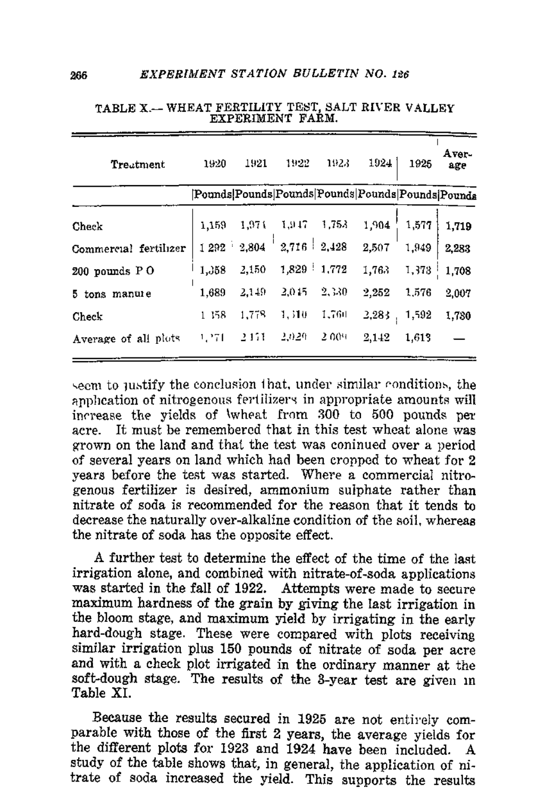| Treatment             | 1920     | 1921  | 1922                                              | 1923  | 1924  | 1925  | Aver-<br>age |
|-----------------------|----------|-------|---------------------------------------------------|-------|-------|-------|--------------|
|                       |          |       | [Pounds Pounds Pounds Pounds Pounds Pounds Pounds |       |       |       |              |
| Check                 | 1.159    | 1,974 | 1,947                                             | 1,753 | 1.904 | 1,577 | 1,719        |
| Commercial fertilizer | $1292 -$ | 2,804 | $2.716 \pm 2.428$                                 |       | 2,507 | 1,949 | 2,283        |
| 200 pounds PO         | 1,358    | 2,150 | 1,829 1,772                                       |       | 1,763 | 1,373 | 1,708        |
| 5 tons manure         | 1,689    | 2,149 | 2,045                                             | 2,330 | 2,252 | 1.576 | 2,007        |
| Check                 | 1 158    | 1.778 | 1,510                                             | 1,760 | 2,283 | 1,592 | 1,730        |
| Average of all plots  | 1,271    | 2.151 | 2.020                                             | 2.009 | 2,142 | 1,613 |              |

| TABLE X.-- WHEAT FERTILITY TEST, SALT RIVER VALLEY |                  |  |  |  |
|----------------------------------------------------|------------------|--|--|--|
|                                                    | EXPERIMENT FARM. |  |  |  |

seem to justify the conclusion that, under similar conditions, the anpheation of nitrogenous fertilizers in appropriate amounts will increase the vields of \wheat from 300 to 500 pounds per acre. It must be remembered that in this test wheat alone was grown on the land and that the test was coninued over a period of several years on land which had been cronned to wheat for 2 vears before the test was started. Where a commercial nitrogenous fertilizer is desired, ammonium suiphate rather than nitrate of soda is recommended for the reason that it tends to decrease the naturally over-alkaline condition of the soil, whereas the nitrate of soda has the opposite effect.

A further test to determine the effect of the time of the last irrigation alone, and combined with nitrate-of-soda applications was started in the fall of 1922. Attempts were made to secure maximum hardness of the grain by giving the last irrigation in the bloom stage, and maximum yield by irrigating in the early hard-dough stage. These were compared with plots receiving similar irrigation plus 150 pounds of nitrate of soda per acre and with a check plot irrigated in the ordinary manner at the soft-dough stage. The results of the 3-year test are given in Table XI.

Because the results secured in 1925 are not entirely comparable with those of the first 2 years, the average yields for the different plots for 1923 and 1924 have been included. A study of the table shows that, in general, the application of nitrate of soda increased the yield. This supports the results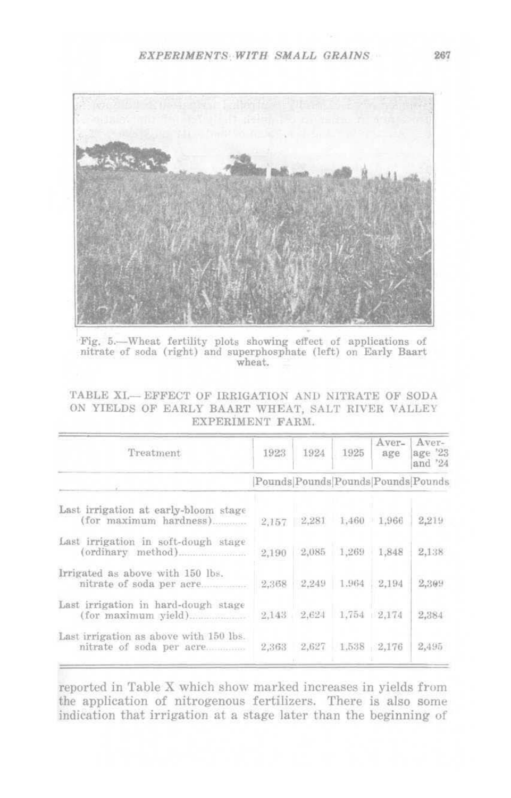

Fig. 5 .- Wheat fertility plots showing effect of applications of nitrate of soda (right) and superphosphate (left) on Early Baart wheat.

TABLE XI .-- EFFECT OF IRRIGATION AND NITRATE OF SODA ON YIELDS OF EARLY BAART WHEAT, SALT RIVER VALLEY EXPERIMENT FARM.

| Treatment                                                          | 1923                               | 1924            | 1925  | Aver-<br>age | Aver-<br>age '23<br>and '24 |
|--------------------------------------------------------------------|------------------------------------|-----------------|-------|--------------|-----------------------------|
|                                                                    | Pounds Pounds Pounds Pounds Pounds |                 |       |              |                             |
| Last irrigation at early-bloom stage<br>(for maximum hardness)     |                                    | $2,157$ $2,281$ | 1,460 | 1.966        | 2,219                       |
| Last irrigation in soft-dough stage                                | 2.190                              | 2,085           | 1,269 | 1,848        | 2,138                       |
| Irrigated as above with 150 lbs.<br>nitrate of soda per acre       | 2.368                              | 2.249           | 1.964 | 2,194        | 2,309                       |
| Last irrigation in hard-dough stage                                |                                    | 2.143 2.624     |       | 1,754 2,174  | 2,384                       |
| Last irrigation as above with 150 lbs.<br>nitrate of soda per acre | 2,363                              | 2,627           |       | 1,538 2,176  | 2,495                       |

reported in Table X which show marked increases in yields from the application of nitrogenous fertilizers. There is also some indication that irrigation at a stage later than the beginning of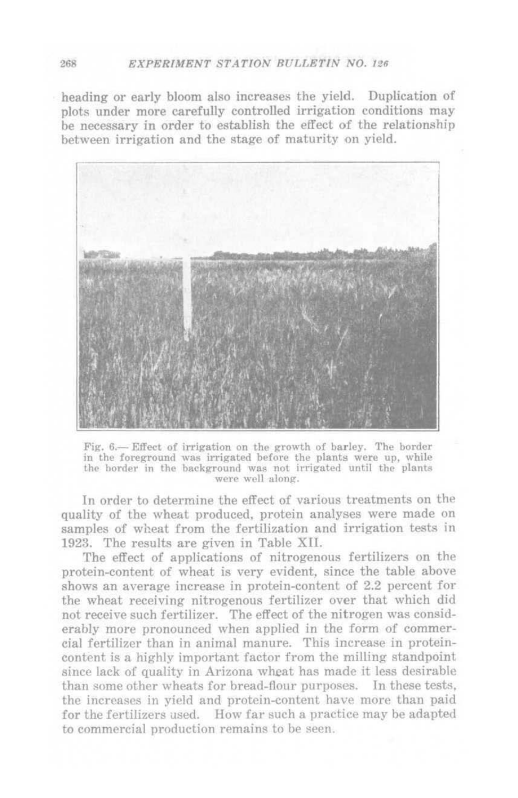#### **268 EXPERIMENT STATION BULLETIN NO. 126**

heading or early bloom also increases the yield. Duplication of plots under more carefully controlled irrigation conditions may be necessary in order to establish the effect of the relationship between irrigation and the stage of maturity on yield.



Fig. 6.- Effect of irrigation on the growth of barley. The border in the foreground was irrigated before the plants were up, while the horder in the background was not irrigated until the plants were well along.

In order to determine the effect of various treatments on the quality of the wheal produced. protein analyses were made on samples of wheat from the fertilization and irrigation tests in 1923. The results are given in Table XlI.

The effect of applications of nitrogenous fertilizers on the protein-content of wheat is very evident, since the table above shows an average increase in protein-content of 2.2 percent for the wheat receiving nitrogenous fertilizer over that which did not receive such fertilizer. The effect of the nitrogen was considerably more pronounced when applied in the form of commercial fertilizer than in animal manure. This increase in proteincontent is a highly important factor from the milling standpoint since lack of quality in Arizona wheat has made it less desirable than some other wheats for bread-flour purposes. In these tests, the increases in yield and protein-content have more than paid for the fertilizers used. How far such a practice may be adapted to commercial production remains to be seen.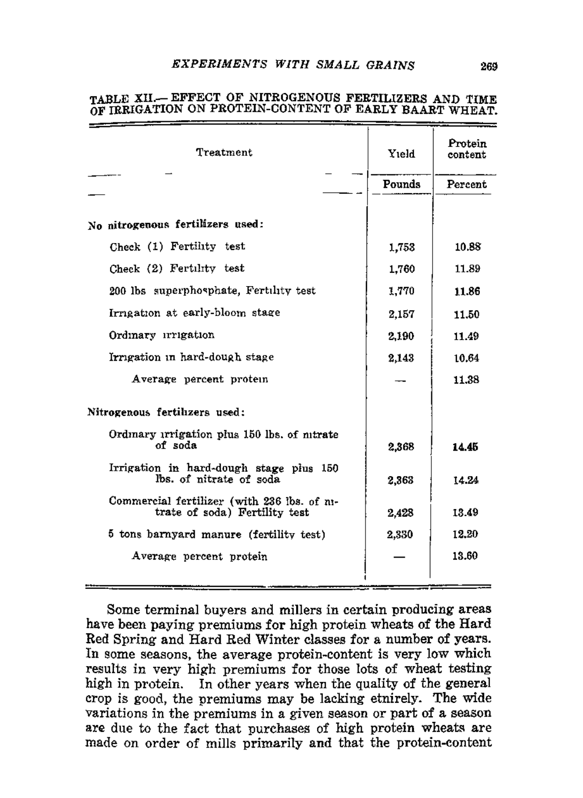| Treatment                                                                    | Yield         | Protein<br>content |
|------------------------------------------------------------------------------|---------------|--------------------|
|                                                                              | <b>Pounds</b> | Percent            |
|                                                                              |               |                    |
| No nitrogenous fertilizers used:                                             |               |                    |
| Check (1) Fertility test                                                     | 1,753         | 10.88              |
| Check (2) Fertility test                                                     | 1.760         | 11.89              |
| 200 lbs superphosphate, Fertility test                                       | 1,770         | 11.86              |
| Irrigation at early-bloom stage                                              | 2,157         | 11.50              |
| Ordinary irrigation                                                          | 2,190         | 11.49              |
| Irrigation in hard-dough stage                                               | 2.143         | 10.64              |
| Average percent protein                                                      |               | 11.38              |
| Nitrogenous fertilizers used:                                                |               |                    |
| Ordinary irrigation plus 150 lbs. of nitrate<br>of soda                      | 2.368         | 14.45              |
| Irrigation in hard-dough stage plus 150<br>lbs. of nitrate of soda           | 2,363         | 14.24              |
| Commercial fertilizer (with 236 ibs. of ni-<br>trate of soda) Fertility test | 2.428         | 13.49              |
| 5 tons barnyard manure (fertility test)                                      | 2.330         | 12.20              |
| Average percent protein                                                      |               | 13.60              |
|                                                                              |               |                    |

#### TABLE XII.- EFFECT OF NITROGENOUS FERTILIZERS AND TIME OF TREIGATION ON PROTEIN-CONTENT OF EARLY BAART WHEAT.

Some terminal buyers and millers in certain producing areas have been paying premiums for high protein wheats of the Hard Red Spring and Hard Red Winter classes for a number of years. In some seasons, the average protein-content is very low which results in very high premiums for those lots of wheat testing high in protein. In other years when the quality of the general crop is good, the premiums may be lacking etnirely. The wide variations in the premiums in a given season or part of a season are due to the fact that purchases of high protein wheats are made on order of mills primarily and that the protein-content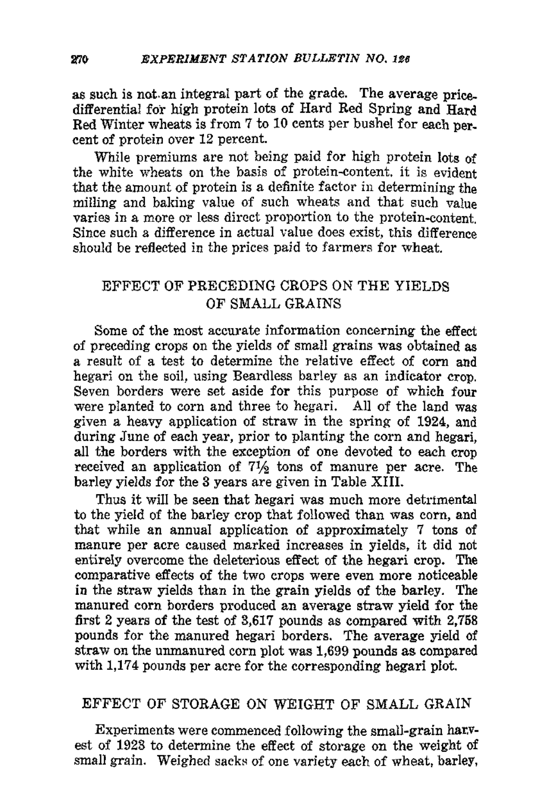as such is not. an integral part of the grade. The average pricedifferential for high protein lots of Hard Red Spring and Hard Red Winter wheats is from 7 to 10 cents per bushel for each per. cent of protein over 12 percent.

While premiums are not being paid for high protein lots of the white wheats on the basis of protein-eontent. it is evident that the amount of protein is a definite factor in determining the milling and baking value of such wheats and that such value varies in a more or less direct proportion to the protein-eontent. Since such a difference in actual value does exist, this difference should be reflected in the prices paid to farmers for wheat.

## EFFECT OF PRECEDING CROPS ON THE YIELDS OF SMALL GRAINS

Some of the most accurate information concerning the effect of preceding crops on the yields of small grains was obtained as a result of a test to determine the relative effect of corn and hegari on the soil, using Beardless barley as an indicator crop. Seven borders were set aside for this purpose of which four were planted to corn and three to hegari. All of the land was given a heavy application of straw in the spring of 1924, and during June of each year, prior to planting the corn and hegari, all the borders with the exception of one devoted to each crop received an application of  $7\frac{1}{2}$  tons of manure per acre. The barley yields for the 3 years are given in Table XIII.

Thus it will be seen that hegari was much more detrimental to the yield of the barley crop that followed than was corn, and that while an annual application of approximately 7 tons of manure per acre caused marked increases in yields, it did not entirely overcome the deleterious effect of the hegari crop. The comparative effects of the two crops were even more noticeable in the straw yields than in the grain yields of the barley. The manured corn borders produced an average straw yield for the first 2 years of the test of 3,617 pounds as compared with 2,758 pounds for the manured hegari borders. The average yield of straw on the unmanured corn plot was 1,699 pounds as compared with 1,174 pounds per acre for the corresponding hegari plot.

#### EFFECT OF STORAGE ON WEIGHT OF SMALL GRAIN

Experiments were commenced following the small-grain haryest of 1923 to determine the effect of storage on the weight of small grain. Weighed sacks of one variety each of wheat, barley,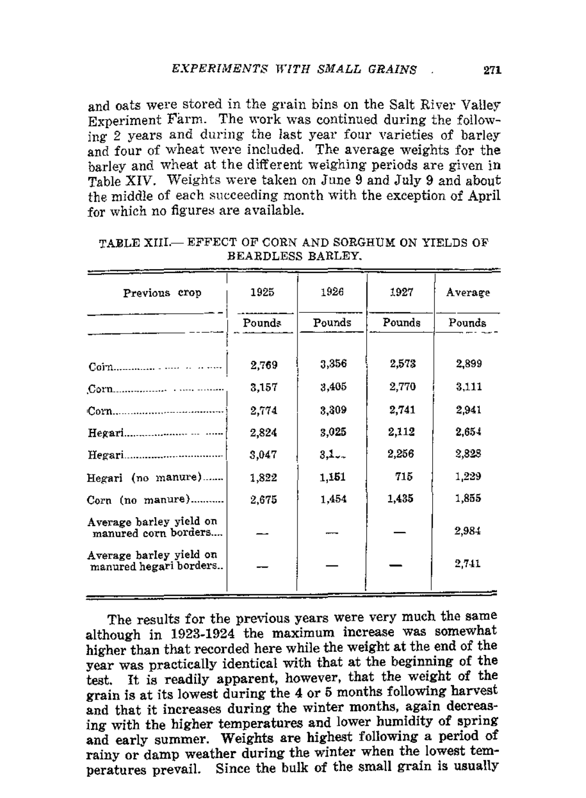and oats were stored in the grain bins on the Salt River Valley Experiment Farm. The work was continued during the follow- $\frac{1}{2}$  years and during the last year four varieties of barley and four of wheat were included. The average weights for the barley and wheat at the different weighing periods are given in Table XIV. Weights were taken on June 9 and July 9 and about the middle of each succeeding month with the exception of April for which no figures are available.

| Previous crop                                     | 1925   | 1926   | 1927   | Average |
|---------------------------------------------------|--------|--------|--------|---------|
|                                                   | Pounds | Pounds | Pounds | Pounds  |
|                                                   | 2.769  | 3,356  | 2,573  | 2,899   |
|                                                   | 3,157  | 3,405  | 2,770  | 3,111   |
|                                                   | 2,774  | 3,309  | 2,741  | 2.941   |
|                                                   | 2,824  | 3,025  | 2,112  | 2.654   |
| Hegari.<br>------------------------------         | 3,047  | 3,1    | 2,256  | 2,828   |
| Hegari (no manure)                                | 1,822  | 1,151  | 715    | 1,229   |
| Corn (no manure)                                  | 2.675  | 1,454  | 1,435  | 1,855   |
| Average barley yield on<br>manured corn borders   |        |        |        | 2,984   |
| Average barley yield on<br>manured hegari borders |        |        |        | 2,741   |
|                                                   |        |        |        |         |

| TABLE XIII.— EFFECT OF CORN AND SORGHUM ON YIELDS OF |  |
|------------------------------------------------------|--|
| BEARDLESS BARLEY.                                    |  |

The results for the previous years were very much the same although in 1923-1924 the maximum increase was somewhat higher than that recorded here while the weight at the end of the year was practically identical with that at the beginning of the test, It is readily apparent, however, that the weight of the grain is at its lowest during the 4 or 5 months following harvest and that it increases during the winter months, again decreasing with the higher temperatures and lower humidity of spring and early summer. Weights are highest following a period of rainy or damp weather during the winter when the lowest temperatures prevail. Since the bulk of the small grain is usuallY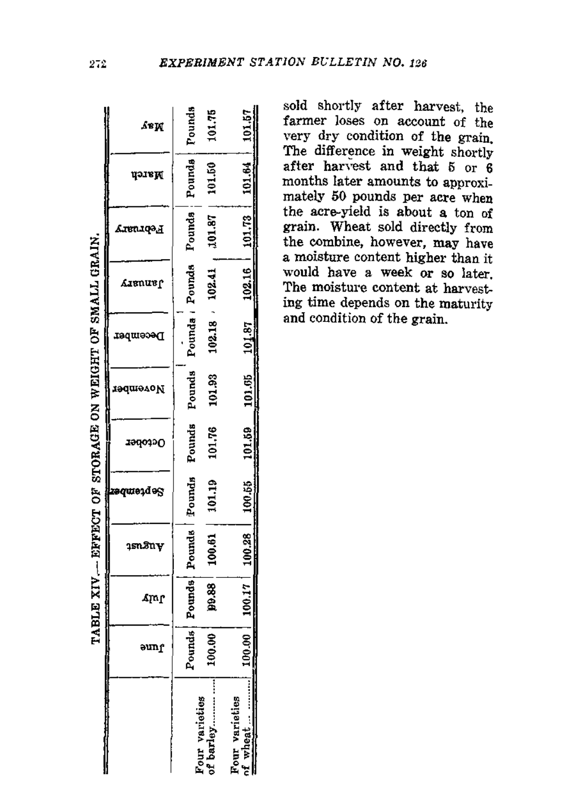|                                                          | ≴ви             | Pounds<br>101.75                   | 101.57                            |
|----------------------------------------------------------|-----------------|------------------------------------|-----------------------------------|
|                                                          | цэля            | $101.87$   101.50<br>Pounds Pounds | 101.64                            |
|                                                          | Ствитор         |                                    | $101.73$ ;                        |
|                                                          | <b>Lienus (</b> | $102.41$ ,<br>Pounds / Pounds      | 102.16                            |
|                                                          | December        | 102.18                             | 101.87                            |
|                                                          | November        | Pounds<br>101.93                   | 101.05                            |
| TABLE XIV. - EFFECT OF STORAGE ON WEIGHT OF SMALL GRAIN. | 1940390         | Pounds<br>101.76                   | 101.59                            |
|                                                          | Se ptemb        | 101.19                             | 100.55                            |
|                                                          | 1snâny          | Pounds   Pounds   Pounds<br>100.61 | 100.28                            |
|                                                          | մակ             | 99.88                              | 100.17                            |
|                                                          | əunr            | Pounds<br>100.00                   | 00.001                            |
|                                                          |                 | Four varieties<br>of barley        | <b>Four varieties</b><br>nf wheat |

sold shortly after harvest, the farmer loses on account of the very dry condition of the grain. The difference in weight shortly after harvest and that 5 or 6 months later amounts to approximately 50 pounds per acre when the acre-yield is about a ton of grain. Wheat sold directly from the combine, however, may have a moisture content higher than it would have a week or so later, The moisture content at harvest. ing time depends on the maturity and condition of the grain.